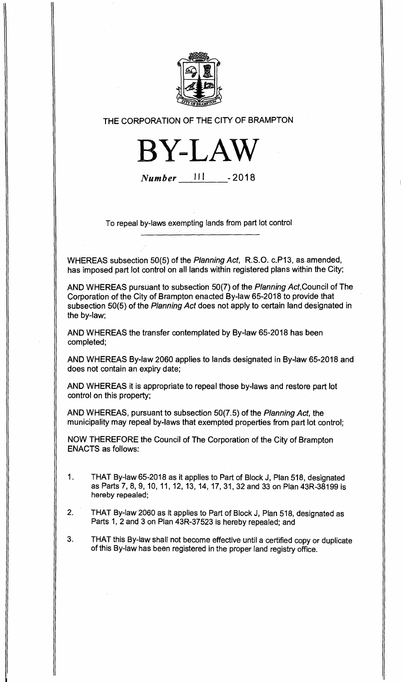

## THE CORPORATION OF THE CITY OF BRAMPTON

**BY-LAW** 

**Number** 111 - 2018

To repeal by-laws exempting lands from part lot control

WHEREAS subsection 50(5) of the Planning Act, R.S.O. c.P13, as amended, has imposed part lot control on all lands within registered plans within the City;

AND WHEREAS pursuant to subsection 50(7) of the Planning Act,Council of The Corporation of the City of Brampton enacted By-law 65-2018 to provide that subsection 50(5) of the Planning Act does not apply to certain land designated in the by-law;

AND WHEREAS the transfer contemplated by By-law 65-2018 has been completed;

AND WHEREAS By-law 2060 applies to lands designated in By-law 65-2018 and does not contain an expiry date;

AND WHEREAS it is appropriate to repeal those by-laws and restore part lot control on this property;

AND WHEREAS, pursuant to subsection 50(7.5) of the Planning Act, the municipality may repeal by-laws that exempted properties from part lot control;

NOW THEREFORE the Council of The Corporation of the City of Brampton ENACTS as follows:

- 1. THAT By-law 65-2018 as it applies to Part of Block J, Plan 518, designated as Parts 7, 8, 9, 10, 11, 12, 13, 14, 17, 31, 32 and 33 on Plan 43R-38199 is hereby repealed;
- 2. THAT By-law 2060 as it applies to Part of Block J, Plan 518, designated as Parts 1, 2 and 3 on Plan 43R-37523 is hereby repealed; and
- 3. THAT this By-law shall not become effective until a certified copy or duplicate of this By-law has been registered in the proper land registry office.